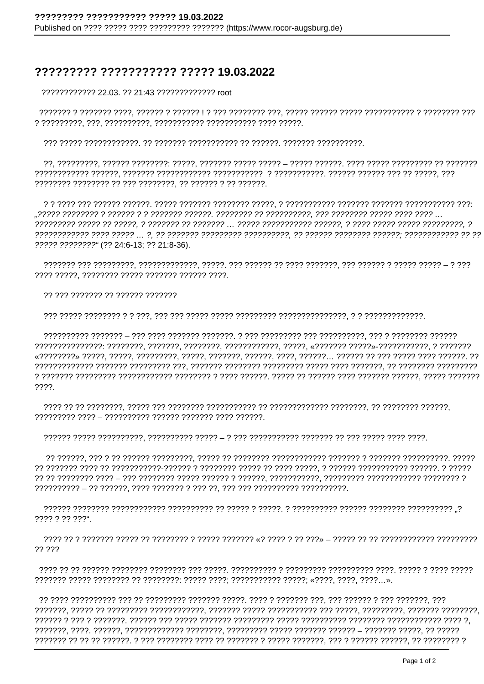## ????????? ??????????? ????? 19.03.2022

???????????? 22.03. ?? 21:43 ????????????? root

????? ????????" (?? 24:6-13; ?? 21:8-36).

7777 77777, 77777777 77777 7777777 77777 7777.

?? ??? ??????? ?? ?????? ???????

 $????.$ 

???? ? ?? ???".

77 777